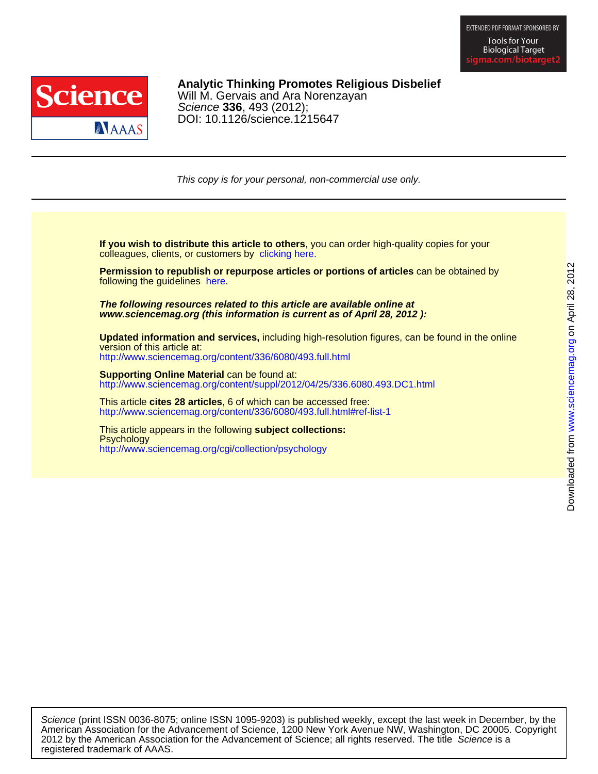

# DOI: 10.1126/science.1215647 Science **336**, 493 (2012); Will M. Gervais and Ara Norenzayan **Analytic Thinking Promotes Religious Disbelief**

This copy is for your personal, non-commercial use only.

colleagues, clients, or customers by [clicking here.](http://www.sciencemag.org/about/permissions.dtl) **If you wish to distribute this article to others**, you can order high-quality copies for your

following the guidelines [here.](http://www.sciencemag.org/about/permissions.dtl) **Permission to republish or repurpose articles or portions of articles** can be obtained by

**www.sciencemag.org (this information is current as of April 28, 2012 ): The following resources related to this article are available online at**

<http://www.sciencemag.org/content/336/6080/493.full.html> version of this article at: **Updated information and services,** including high-resolution figures, can be found in the online

http://www.sciencemag.org/content/suppl/2012/04/25/336.6080.493.DC1.html **Supporting Online Material** can be found at:

<http://www.sciencemag.org/content/336/6080/493.full.html#ref-list-1> This article **cites 28 articles**, 6 of which can be accessed free:

<http://www.sciencemag.org/cgi/collection/psychology> **Psychology** This article appears in the following **subject collections:**

registered trademark of AAAS. 2012 by the American Association for the Advancement of Science; all rights reserved. The title Science is a American Association for the Advancement of Science, 1200 New York Avenue NW, Washington, DC 20005. Copyright Science (print ISSN 0036-8075; online ISSN 1095-9203) is published weekly, except the last week in December, by the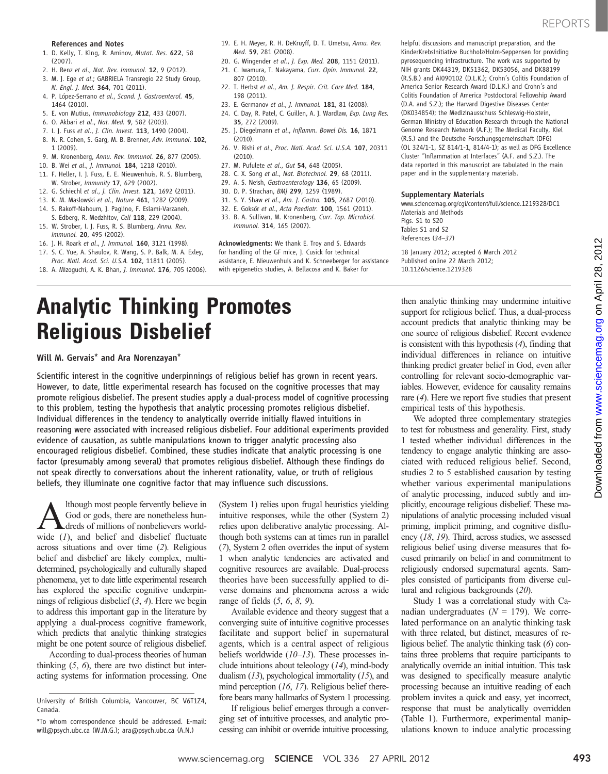- 1. D. Kelly, T. King, R. Aminov, Mutat. Res. 622, 58 (2007).
- 2. H. Renz et al., Nat. Rev. Immunol. 12, 9 (2012).
- 3. M. J. Ege et al.; GABRIELA Transregio 22 Study Group, N. Engl. J. Med. 364, 701 (2011).
- 4. P. López-Serrano et al., Scand. J. Gastroenterol. 45, 1464 (2010).
- 5. E. von Mutius, Immunobiology 212, 433 (2007).
- 6. O. Akbari et al., Nat. Med. 9, 582 (2003).
- 7. I. J. Fuss et al., J. Clin. Invest. 113, 1490 (2004).
- 8. N. R. Cohen, S. Garg, M. B. Brenner, Adv. Immunol. 102, 1 (2009).
- 9. M. Kronenberg, Annu. Rev. Immunol. 26, 877 (2005).
- 10. B. Wei et al., J. Immunol. 184, 1218 (2010).
- 11. F. Heller, I. J. Fuss, E. E. Nieuwenhuis, R. S. Blumberg, W. Strober, Immunity 17, 629 (2002).
- 12. G. Schiechl et al., J. Clin. Invest. 121, 1692 (2011).
- 13. K. M. Maslowski et al., Nature 461, 1282 (2009).
- 14. S. Rakoff-Nahoum, J. Paglino, F. Eslami-Varzaneh, S. Edberg, R. Medzhitov, Cell 118, 229 (2004).
- 15. W. Strober, I. J. Fuss, R. S. Blumberg, Annu. Rev. Immunol. 20, 495 (2002).
- 16. J. H. Roark et al., J. Immunol. 160, 3121 (1998).
- 17. S. C. Yue, A. Shaulov, R. Wang, S. P. Balk, M. A. Exley,
- Proc. Natl. Acad. Sci. U.S.A. 102, 11811 (2005). 18. A. Mizoguchi, A. K. Bhan, J. Immunol. 176, 705 (2006).
- 19. E. H. Meyer, R. H. DeKruyff, D. T. Umetsu, Annu. Rev. Med. 59, 281 (2008).
- 20. G. Wingender et al., J. Exp. Med. 208, 1151 (2011). 21. C. Iwamura, T. Nakayama, Curr. Opin. Immunol. 22,
- 807 (2010). 22. T. Herbst et al., Am. J. Respir. Crit. Care Med. 184,
- 198 (2011).
- 23. E. Germanov et al., J. Immunol. 181, 81 (2008).
- 24. C. Day, R. Patel, C. Guillen, A. J. Wardlaw, Exp. Lung Res. 35, 272 (2009).
- 25. J. Diegelmann et al., Inflamm. Bowel Dis. 16, 1871 (2010).
- 26. V. Rishi et al., Proc. Natl. Acad. Sci. U.S.A. 107, 20311 (2010).
- 27. M. Pufulete et al., Gut 54, 648 (2005).
- 28. C. X. Song et al., Nat. Biotechnol. 29, 68 (2011).
- 29. A. S. Neish, Gastroenterology 136, 65 (2009).
- 30. D. P. Strachan, BMJ 299, 1259 (1989).
- 31. S. Y. Shaw et al., Am. J. Gastro. 105, 2687 (2010).
- 32. E. Goksör et al., Acta Paediatr. 100, 1561 (2011).
- 33. B. A. Sullivan, M. Kronenberg, Curr. Top. Microbiol.
	- Immunol. 314, 165 (2007).

Acknowledgments: We thank E. Troy and S. Edwards for handling of the GF mice, J. Cusick for technical assistance, E. Nieuwenhuis and K. Schneeberger for assistance with epigenetics studies, A. Bellacosa and K. Baker for

helpful discussions and manuscript preparation, and the KinderKrebsInitiative Buchholz/Holm-Seppensen for providing pyrosequencing infrastructure. The work was supported by NIH grants DK44319, DK51362, DK53056, and DK88199 (R.S.B.) and AI090102 (D.L.K.); Crohn's Colitis Foundation of America Senior Research Award (D.L.K.) and Crohn's and Colitis Foundation of America Postdoctoral Fellowship Award (D.A. and S.Z.); the Harvard Digestive Diseases Center (DK034854); the Medizinausschuss Schleswig-Holstein, German Ministry of Education Research through the National Genome Research Network (A.F.); The Medical Faculty, Kiel (R.S.) and the Deutsche Forschungsgemeinschaft (DFG) (OL 324/1-1, SZ 814/1-1, 814/4-1); as well as DFG Excellence Cluster "Inflammation at Interfaces" (A.F. and S.Z.). The data reported in this manuscript are tabulated in the main paper and in the supplementary materials.

#### Supplementary Materials

www.sciencemag.org/cgi/content/full/science.1219328/DC1 Materials and Methods Figs. S1 to S20 Tables S1 and S2 References (34–37)

18 January 2012; accepted 6 March 2012 Published online 22 March 2012; 10.1126/science.1219328

# **Analytic Thinking Promotes<br>Religious Disbelief**

# Religious Disbelief Will M. Gervais\* and Ara Norenzayan\*

Scientific interest in the cognitive underpinnings of religious belief has grown in recent years. However, to date, little experimental research has focused on the cognitive processes that may promote religious disbelief. The present studies apply a dual-process model of cognitive processing to this problem, testing the hypothesis that analytic processing promotes religious disbelief. Individual differences in the tendency to analytically override initially flawed intuitions in reasoning were associated with increased religious disbelief. Four additional experiments provided evidence of causation, as subtle manipulations known to trigger analytic processing also encouraged religious disbelief. Combined, these studies indicate that analytic processing is one factor (presumably among several) that promotes religious disbelief. Although these findings do not speak directly to conversations about the inherent rationality, value, or truth of religious beliefs, they illuminate one cognitive factor that may influence such discussions.

A lthough most people fervently believe in God or gods, there are nonetheless hundreds of millions of nonbelievers world-<br>wide  $(I)$  and belief and disbelief fluctuate God or gods, there are nonetheless hundreds of millions of nonbelievers worldwide (1), and belief and disbelief fluctuate across situations and over time (2). Religious belief and disbelief are likely complex, multidetermined, psychologically and culturally shaped phenomena, yet to date little experimental research has explored the specific cognitive underpinnings of religious disbelief (3, 4). Here we begin to address this important gap in the literature by applying a dual-process cognitive framework, which predicts that analytic thinking strategies might be one potent source of religious disbelief.

According to dual-process theories of human thinking  $(5, 6)$ , there are two distinct but interacting systems for information processing. One (System 1) relies upon frugal heuristics yielding intuitive responses, while the other (System 2) relies upon deliberative analytic processing. Although both systems can at times run in parallel (7), System 2 often overrides the input of system 1 when analytic tendencies are activated and cognitive resources are available. Dual-process theories have been successfully applied to diverse domains and phenomena across a wide range of fields  $(5, 6, 8, 9)$ .

Available evidence and theory suggest that a converging suite of intuitive cognitive processes facilitate and support belief in supernatural agents, which is a central aspect of religious beliefs worldwide  $(10-13)$ . These processes include intuitions about teleology (14), mind-body dualism  $(13)$ , psychological immortality  $(15)$ , and mind perception (16, 17). Religious belief therefore bears many hallmarks of System 1 processing.

If religious belief emerges through a converging set of intuitive processes, and analytic processing can inhibit or override intuitive processing,

then analytic thinking may undermine intuitive support for religious belief. Thus, a dual-process account predicts that analytic thinking may be one source of religious disbelief. Recent evidence is consistent with this hypothesis (4), finding that individual differences in reliance on intuitive thinking predict greater belief in God, even after controlling for relevant socio-demographic variables. However, evidence for causality remains rare (4). Here we report five studies that present empirical tests of this hypothesis.

We adopted three complementary strategies to test for robustness and generality. First, study 1 tested whether individual differences in the tendency to engage analytic thinking are associated with reduced religious belief. Second, studies 2 to 5 established causation by testing whether various experimental manipulations of analytic processing, induced subtly and implicitly, encourage religious disbelief. These manipulations of analytic processing included visual priming, implicit priming, and cognitive disfluency (18, 19). Third, across studies, we assessed religious belief using diverse measures that focused primarily on belief in and commitment to religiously endorsed supernatural agents. Samples consisted of participants from diverse cultural and religious backgrounds (20).

Study 1 was a correlational study with Canadian undergraduates ( $N = 179$ ). We correlated performance on an analytic thinking task with three related, but distinct, measures of religious belief. The analytic thinking task (6) contains three problems that require participants to analytically override an initial intuition. This task was designed to specifically measure analytic processing because an intuitive reading of each problem invites a quick and easy, yet incorrect, response that must be analytically overridden (Table 1). Furthermore, experimental manipulations known to induce analytic processing

University of British Columbia, Vancouver, BC V6T1Z4, Canada.

<sup>\*</sup>To whom correspondence should be addressed. E-mail: will@psych.ubc.ca (W.M.G.); ara@psych.ubc.ca (A.N.)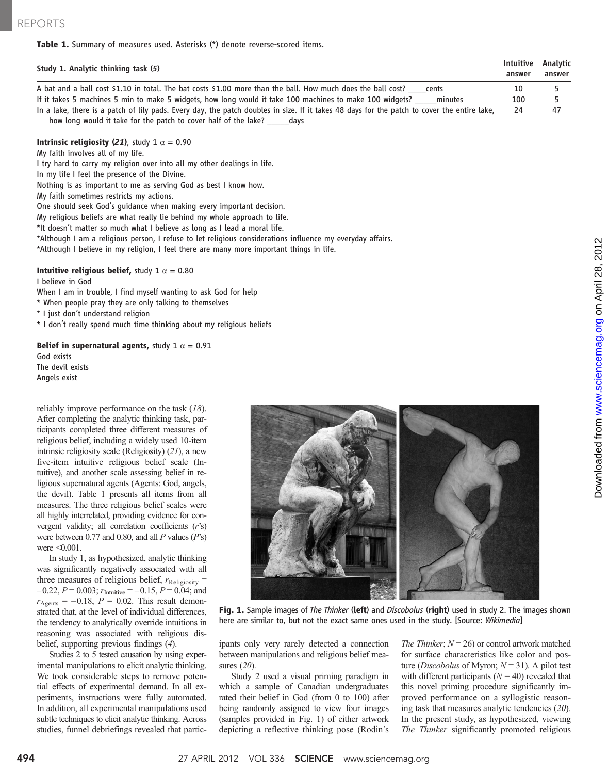### Table 1. Summary of measures used. Asterisks (\*) denote reverse-scored items.

| Study 1. Analytic thinking task (5)                                                                                                         | Intuitive<br>answer | Analytic<br>answer |
|---------------------------------------------------------------------------------------------------------------------------------------------|---------------------|--------------------|
| A bat and a ball cost \$1.10 in total. The bat costs \$1.00 more than the ball. How much does the ball cost?<br>cents                       | 10                  |                    |
| If it takes 5 machines 5 min to make 5 widgets, how long would it take 100 machines to make 100 widgets?<br>minutes                         | 100                 |                    |
| In a lake, there is a patch of lily pads. Every day, the patch doubles in size. If it takes 48 days for the patch to cover the entire lake, | 24                  | 47                 |

how long would it take for the patch to cover half of the lake? \_\_\_\_\_days

## Intrinsic religiosity (21), study 1  $\alpha$  = 0.90

My faith involves all of my life. I try hard to carry my religion over into all my other dealings in life.

In my life I feel the presence of the Divine.

Nothing is as important to me as serving God as best I know how.

My faith sometimes restricts my actions.

One should seek God's guidance when making every important decision.

My religious beliefs are what really lie behind my whole approach to life.

\*It doesn't matter so much what I believe as long as I lead a moral life.

\*Although I am a religious person, I refuse to let religious considerations influence my everyday affairs.

\*Although I believe in my religion, I feel there are many more important things in life.

#### Intuitive religious belief, study 1  $\alpha = 0.80$

I believe in God

When I am in trouble, I find myself wanting to ask God for help

\* When people pray they are only talking to themselves

\* I just don't understand religion

\* I don't really spend much time thinking about my religious beliefs

#### Belief in supernatural agents, study 1  $\alpha$  = 0.91

God exists The devil exists Angels exist

reliably improve performance on the task (18). After completing the analytic thinking task, participants completed three different measures of religious belief, including a widely used 10-item intrinsic religiosity scale (Religiosity) (21), a new five-item intuitive religious belief scale (Intuitive), and another scale assessing belief in religious supernatural agents (Agents: God, angels, the devil). Table 1 presents all items from all measures. The three religious belief scales were all highly interrelated, providing evidence for convergent validity; all correlation coefficients (r's) were between 0.77 and 0.80, and all  $P$  values  $(P's)$ were <0.001.

In study 1, as hypothesized, analytic thinking was significantly negatively associated with all three measures of religious belief,  $r_{\text{Religiosity}} =$  $-0.22$ ,  $P = 0.003$ ;  $r_{\text{Intuitive}} = -0.15$ ,  $P = 0.04$ ; and  $r_{\text{Agents}} = -0.18$ ,  $P = 0.02$ . This result demonstrated that, at the level of individual differences, the tendency to analytically override intuitions in reasoning was associated with religious disbelief, supporting previous findings (4).

Studies 2 to 5 tested causation by using experimental manipulations to elicit analytic thinking. We took considerable steps to remove potential effects of experimental demand. In all experiments, instructions were fully automated. In addition, all experimental manipulations used subtle techniques to elicit analytic thinking. Across studies, funnel debriefings revealed that partic-



Fig. 1. Sample images of The Thinker (left) and Discobolus (right) used in study 2. The images shown here are similar to, but not the exact same ones used in the study. [Source: Wikimedia]

ipants only very rarely detected a connection between manipulations and religious belief measures (20).

Study 2 used a visual priming paradigm in which a sample of Canadian undergraduates rated their belief in God (from 0 to 100) after being randomly assigned to view four images (samples provided in Fig. 1) of either artwork depicting a reflective thinking pose (Rodin's

The Thinker;  $N = 26$ ) or control artwork matched for surface characteristics like color and posture (*Discobolus* of Myron;  $N = 31$ ). A pilot test with different participants  $(N = 40)$  revealed that this novel priming procedure significantly improved performance on a syllogistic reasoning task that measures analytic tendencies (20). In the present study, as hypothesized, viewing The Thinker significantly promoted religious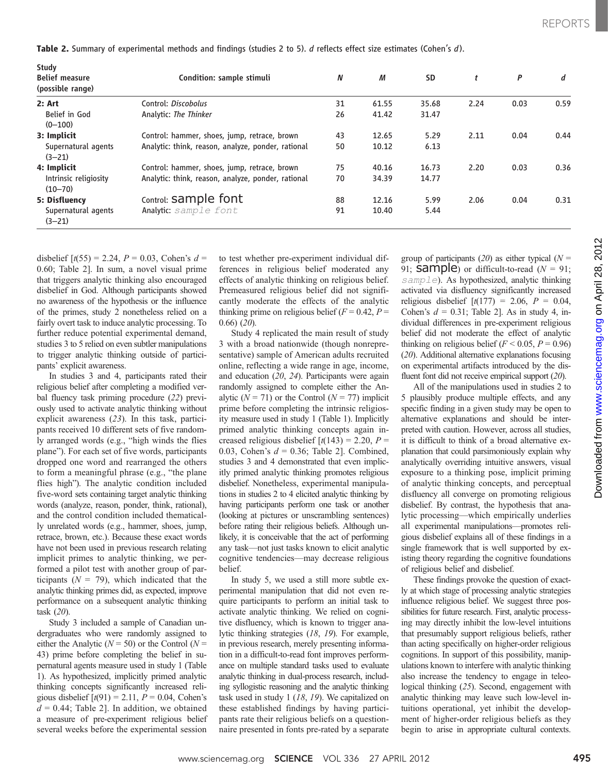[www.sciencemag.org](http://www.sciencemag.org/)

Downloaded from

| Study<br><b>Belief measure</b><br>(possible range) | Condition: sample stimuli                          | N  | М     | <b>SD</b> | t    | P    | d    |
|----------------------------------------------------|----------------------------------------------------|----|-------|-----------|------|------|------|
| 2: Art                                             | Control: Discobolus                                | 31 | 61.55 | 35.68     | 2.24 | 0.03 | 0.59 |
| Belief in God<br>$(0 - 100)$                       | Analytic: The Thinker                              | 26 | 41.42 | 31.47     |      |      |      |
| 3: Implicit                                        | Control: hammer, shoes, jump, retrace, brown       | 43 | 12.65 | 5.29      | 2.11 | 0.04 | 0.44 |
| Supernatural agents<br>$(3-21)$                    | Analytic: think, reason, analyze, ponder, rational | 50 | 10.12 | 6.13      |      |      |      |
| 4: Implicit                                        | Control: hammer, shoes, jump, retrace, brown       | 75 | 40.16 | 16.73     | 2.20 | 0.03 | 0.36 |
| Intrinsic religiosity<br>$(10 - 70)$               | Analytic: think, reason, analyze, ponder, rational | 70 | 34.39 | 14.77     |      |      |      |
| 5: Disfluency                                      | Control: Sample font                               | 88 | 12.16 | 5.99      | 2.06 | 0.04 | 0.31 |
| Supernatural agents<br>$(3 - 21)$                  | Analytic: sample font                              | 91 | 10.40 | 5.44      |      |      |      |

Table 2. Summary of experimental methods and findings (studies 2 to 5). d reflects effect size estimates (Cohen's d).

disbelief  $[t(55) = 2.24, P = 0.03, \text{ Cohen's } d =$ 0.60; Table 2]. In sum, a novel visual prime that triggers analytic thinking also encouraged disbelief in God. Although participants showed no awareness of the hypothesis or the influence of the primes, study 2 nonetheless relied on a fairly overt task to induce analytic processing. To further reduce potential experimental demand, studies 3 to 5 relied on even subtler manipulations to trigger analytic thinking outside of participants' explicit awareness.

In studies 3 and 4, participants rated their religious belief after completing a modified verbal fluency task priming procedure (22) previously used to activate analytic thinking without explicit awareness (23). In this task, participants received 10 different sets of five randomly arranged words (e.g., "high winds the flies plane"). For each set of five words, participants dropped one word and rearranged the others to form a meaningful phrase (e.g., "the plane flies high"). The analytic condition included five-word sets containing target analytic thinking words (analyze, reason, ponder, think, rational), and the control condition included thematically unrelated words (e.g., hammer, shoes, jump, retrace, brown, etc.). Because these exact words have not been used in previous research relating implicit primes to analytic thinking, we performed a pilot test with another group of participants ( $N = 79$ ), which indicated that the analytic thinking primes did, as expected, improve performance on a subsequent analytic thinking task (20).

Study 3 included a sample of Canadian undergraduates who were randomly assigned to either the Analytic ( $N = 50$ ) or the Control ( $N =$ 43) prime before completing the belief in supernatural agents measure used in study 1 (Table 1). As hypothesized, implicitly primed analytic thinking concepts significantly increased religious disbelief  $[t(91) = 2.11, P = 0.04, \text{ Cohen's}$  $d = 0.44$ ; Table 2]. In addition, we obtained a measure of pre-experiment religious belief several weeks before the experimental session

to test whether pre-experiment individual differences in religious belief moderated any effects of analytic thinking on religious belief. Premeasured religious belief did not significantly moderate the effects of the analytic thinking prime on religious belief  $(F = 0.42, P =$ 0.66) (20).

Study 4 replicated the main result of study 3 with a broad nationwide (though nonrepresentative) sample of American adults recruited online, reflecting a wide range in age, income, and education (20, 24). Participants were again randomly assigned to complete either the Analytic ( $N = 71$ ) or the Control ( $N = 77$ ) implicit prime before completing the intrinsic religiosity measure used in study 1 (Table 1). Implicitly primed analytic thinking concepts again increased religious disbelief  $\lceil t(143) = 2.20, P =$ 0.03, Cohen's  $d = 0.36$ ; Table 2]. Combined, studies 3 and 4 demonstrated that even implicitly primed analytic thinking promotes religious disbelief. Nonetheless, experimental manipulations in studies 2 to 4 elicited analytic thinking by having participants perform one task or another (looking at pictures or unscrambling sentences) before rating their religious beliefs. Although unlikely, it is conceivable that the act of performing any task—not just tasks known to elicit analytic cognitive tendencies—may decrease religious belief.

In study 5, we used a still more subtle experimental manipulation that did not even require participants to perform an initial task to activate analytic thinking. We relied on cognitive disfluency, which is known to trigger analytic thinking strategies (18, 19). For example, in previous research, merely presenting information in a difficult-to-read font improves performance on multiple standard tasks used to evaluate analytic thinking in dual-process research, including syllogistic reasoning and the analytic thinking task used in study 1 (18, 19). We capitalized on these established findings by having participants rate their religious beliefs on a questionnaire presented in fonts pre-rated by a separate

group of participants (20) as either typical ( $N =$ 91; **Sample**) or difficult-to-read  $(N = 91)$ ; sample). As hypothesized, analytic thinking activated via disfluency significantly increased religious disbelief  $[t(177) = 2.06, P = 0.04,$ Cohen's  $d = 0.31$ ; Table 2]. As in study 4, individual differences in pre-experiment religious belief did not moderate the effect of analytic thinking on religious belief ( $F < 0.05$ ,  $P = 0.96$ ) (20). Additional alternative explanations focusing on experimental artifacts introduced by the disfluent font did not receive empirical support (20).

All of the manipulations used in studies 2 to 5 plausibly produce multiple effects, and any specific finding in a given study may be open to alternative explanations and should be interpreted with caution. However, across all studies, it is difficult to think of a broad alternative explanation that could parsimoniously explain why analytically overriding intuitive answers, visual exposure to a thinking pose, implicit priming of analytic thinking concepts, and perceptual disfluency all converge on promoting religious disbelief. By contrast, the hypothesis that analytic processing—which empirically underlies all experimental manipulations—promotes religious disbelief explains all of these findings in a single framework that is well supported by existing theory regarding the cognitive foundations of religious belief and disbelief.

These findings provoke the question of exactly at which stage of processing analytic strategies influence religious belief. We suggest three possibilities for future research. First, analytic processing may directly inhibit the low-level intuitions that presumably support religious beliefs, rather than acting specifically on higher-order religious cognitions. In support of this possibility, manipulations known to interfere with analytic thinking also increase the tendency to engage in teleological thinking (25). Second, engagement with analytic thinking may leave such low-level intuitions operational, yet inhibit the development of higher-order religious beliefs as they begin to arise in appropriate cultural contexts.